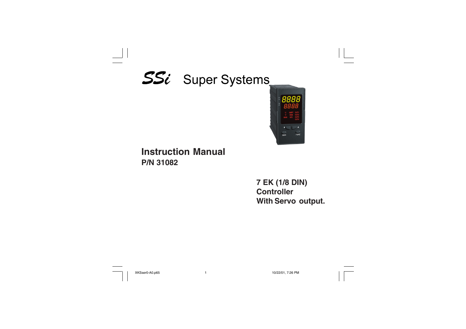



# SSi Super Systems



**Instruction Manual P/N 31082**

> **7 EK (1/8 DIN) ControllerWith Servo output.**

|  | XK∗ |
|--|-----|
|  |     |

 $\perp$ 

1 10/22/01, 7:26 PM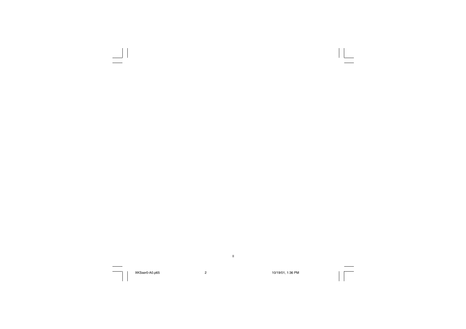# $\hspace{0.1cm}\rule{0.7pt}{0.1cm}\hspace{0.1cm}\rule{0.7pt}{0.8pt}\hspace{0.1cm}\hspace{0.1cm}$

II

XKSser0-A0.p65 2 10/19/01, 1:36 PM

 $\begin{array}{c} \hline \end{array}$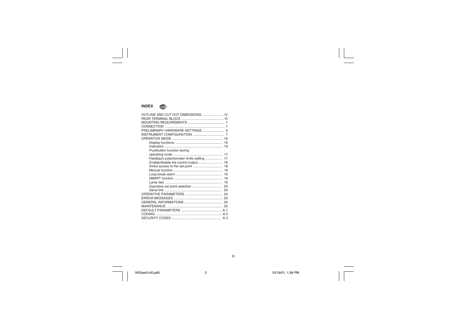#### **INDEX GB**

 $\mathbb{R}$ 

| OUTLINE AND CUT OUT DIMENSIONS  IV        |
|-------------------------------------------|
|                                           |
|                                           |
|                                           |
|                                           |
|                                           |
|                                           |
|                                           |
|                                           |
| Pushbutton function during                |
|                                           |
| Feedback potentiometer limits setting  17 |
| Enable/disable the control output  18     |
|                                           |
|                                           |
|                                           |
|                                           |
|                                           |
|                                           |
|                                           |
|                                           |
|                                           |
|                                           |
|                                           |
|                                           |
|                                           |
|                                           |

III

XKSser0-A0.p65 3 10/19/01, 1:36 PM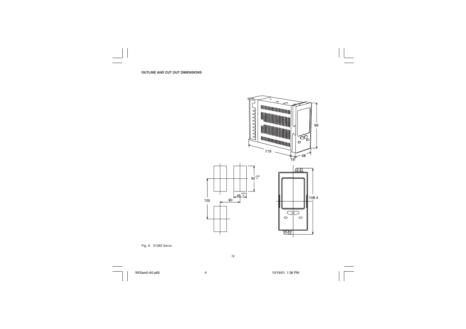





Fig. A 31082 Servo

IV

XKSser0-A0.p65 4 10/19/01, 1:36 PM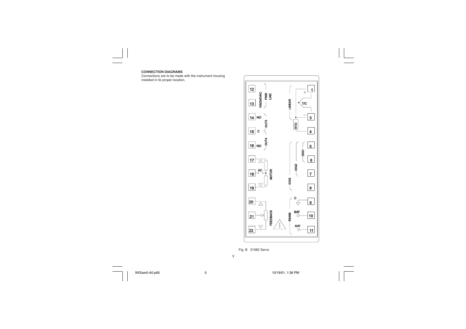#### **CONNECTION DIAGRAMS**

Connections are to be made with the instrument housing installed in its proper location.



Fig. B 31082 Servo

V

XKSser0-A0.p65 5 10/19/01, 1:36 PM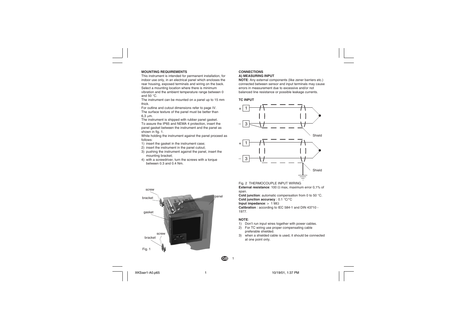#### **MOUNTING REQUIREMENTS**

 This instrument is intended for permanent installation, for indoor use only, in an electrical panel which encloses the rear housing, exposed terminals and wiring on the back. Select a mounting location where there is minimum vibration and the ambient temperature range between 0 and 50 °C.

 The instrument can be mounted on a panel up to 15 mm thick.

 For outline and cutout dimensions refer to page IV. The surface texture of the panel must be better than 6.3 um.

The instrument is shipped with rubber panel gasket. To assure the IP65 and NEMA 4 protection, insert the panel gasket between the instrument and the panel as shown in fig. 1.

While holding the instrument against the panel proceed as follows:

- 1) insert the gasket in the instrument case;
- 2) insert the instrument in the panel cutout;
- 3) pushing the instrument against the panel, insert the mounting bracket;
- 4) with a screwdriver, turn the screws with a torque between 0.3 and 0.4 Nm.

#### **CONNECTIONSA) MEASURING INPUT**

**NOTE**: Any external components (like zener barriers etc.) connected between sensor and input terminals may cause errors in measurement due to excessive and/or not balanced line resistance or possible leakage currents.

**TC INPUT**



bracket **bracket** screwFig. 1 gasket screwbracket

Fig. 2 THERMOCOUPLE INPUT WIRING **External resistance**: 100  $\Omega$  max, maximum error 0,1% of

span. **Cold junction**: automatic compensation from 0 to 50 °C. **Cold junction accuracy** : 0.1 °C/°C **Input impedance:**  $> 1$  M $\Omega$  **Calibration** : according to IEC 584-1 and DIN 43710 - 1977.

#### **NOTE**:

- 1) Don't run input wires together with power cables.
- 2) For TC wiring use proper compensating cable
- preferable shielded.
- 3) when a shielded cable is used, it should be connected at one point only.

**GB** 1

XKSser1-A0.p65 1 10/19/01, 1:37 PM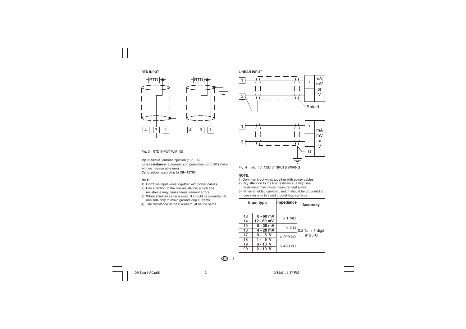

#### **RTD INPUT**



#### Shield +mA, mVor V3 <del>\/ \/ </del>  $\sqrt{3}$  $\vert$  1



Fig. 3 RTD INPUT WIRING

**Input circuit:** current injection (135 µA). **Line resistance**: automatic compensation up to 20  $\Omega$ /wire with no measurable error. **Calibration**: according to DIN 43760

#### **NOTE**:

- 1) Don't run input wires together with power cables. 2) Pay attention to the line resistance; a high line
- 
- resistance may cause measurement errors. 3) When shielded cable is used, it should be grounded at one side only to avoid ground loop currents.
- 4) The resistance of the 3 wires must be the same.



#### **NOTE**:

**LINEAR INPUT**

- 1) Don't run input wires together with power cables.
- 2) Pay attention to the line resistance; a high line resistance may cause measurement errors.
- 3) When shielded cable is used, it should be grounded at one side only to avoid ground loop currents.

|    | Input type   | impedance               | Accuracy           |
|----|--------------|-------------------------|--------------------|
| 13 | $0 - 60$ mV  | $>1$ M $\Omega$         |                    |
| 14 | $12 - 60$ mV |                         |                    |
| 15 | $0 - 20$ mA  | $< 5 \Omega$            |                    |
| 16 | $4 - 20$ mA  |                         | $0.2 \% + 1$ digit |
| 17 | 0-5V         | $>200$ kΩ               | @25°C              |
| 18 | 1-5V         |                         |                    |
| 19 | $0 - 10 V$   | $> 400 \text{ k}\Omega$ |                    |
| 20 | $2 - 10 V$   |                         |                    |



XKSser1-A0.p65 2 10/19/01, 1:37 PM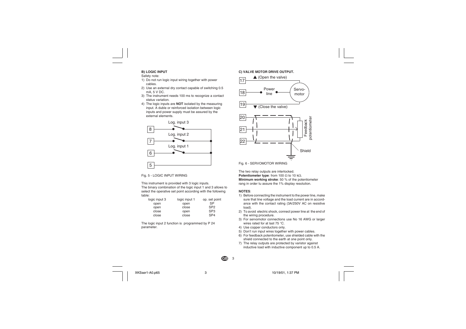### **B) LOGIC INPUT**

#### Safety note:

- 1) Do not run logic input wiring together with power cables.
- 2) Use an external dry contact capable of switching 0.5 mA, 5 V DC.
- 3) The instrument needs 100 ms to recognize a contact status variation.
- 4) The logic inputs are **NOT** isolated by the measuring input. A duble or reinforced isolation between logic inputs and power supply must be assured by the external elements.



#### Fig. 5 - LOGIC INPUT WIRING

This instrument is provided with 3 logic inputs. The binary combination of the logic input 1 and 3 allows to select the operative set point according with the following table:

| logic input 3 | logic input 1 | op. set point   |
|---------------|---------------|-----------------|
| open          | open          | SP              |
| open          | close         | SP <sub>2</sub> |
| close         | open          | SP <sub>3</sub> |
| close         | close         | SP <sub>4</sub> |
|               |               |                 |

The logic input 2 function is programmed by P 24 parameter.

#### **C) VALVE MOTOR DRIVE OUTPUT.**





Fig. 6 - SERVOMOTOR WIRING

The two relay outputs are interlocked. Potentiometer type: from 100  $\Omega$  to 10 k $\Omega$ . **Minimum working stroke**: 50 % of the potentiometer rang in order tu assure the 1% display resolution.

#### **NOTES**:

- 1) Before connecting the instrument to the power line, make sure that line voltage and the load current are in accordance with the contact rating (3A/250V AC on resistive load).
- 2) To avoid electric shock, connect power line at the end of the wiring procedure.
- 3) For servomotor connections use No 16 AWG or larger wires rated for at last 75 °C.
- 4) Use copper conductors only.
- 5) Don't run input wires together with power cables.
- 6) For feedback potentiometer, use shielded cable with the shield connected to the earth at one point only.
- 7) The relay outputs are protected by varistor against inductive load with inductive component up to 0.5 A.

#### **GB** 3

XKSser1-A0.p65 3 10/19/01, 1:37 PM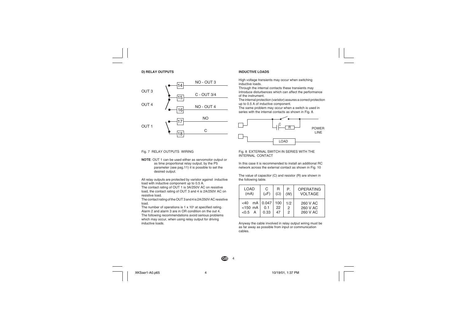#### **D) RELAY OUTPUTS**



#### Fig. 7 RELAY OUTPUTS WIRING

**NOTE**: OUT 1 can be used either as servomotor output or as time proportional relay output; by the P5 parameter (see pag.11) it is possible to set the desired output.

All relay outputs are protected by varistor against inductive load with inductive component up to 0.5 A. The contact rating of OUT 1 is 3A/250V AC on resistive load, the contact rating of OUT 3 and 4 is 2A/250V AC on

resistive load. The contact rating of the OUT 3 and 4 is 2A/250V AC resistive load.

The number of operations is  $1 \times 10^5$  at specified rating. Alarm 2 and alarm 3 are in OR condition on the out 4. The following recommendations avoid serious problems which may occur, when using relay output for driving inductive loads.

#### **INDUCTIVE LOADS**

High voltage transients may occur when switching inductive loads. Through the internal contacts these transients may introduce disturbances which can affect the performance

of the instrument.The internal protection (varistor) assures a correct protection

up to 0.5 A of inductive component.

The same problem may occur when a switch is used in series with the internal contacts as shown in Fig. 8.



#### Fig. 8 EXTERNAL SWITCH IN SERIES WITH THE INTERNAL CONTACT

In this case it is recommended to install an additional RC network across the external contact as shown in Fig. 10

The value of capacitor (C) and resistor (R) are shown in the following table.

| LOAD<br>(mA)                             | C<br>$(\mu F)$       | R               | P                                      | <b>OPERATING</b><br><b>VOLTAGE</b> |
|------------------------------------------|----------------------|-----------------|----------------------------------------|------------------------------------|
| mA<br>$<$ 40<br>$<$ 150 mA<br>< 0.5<br>A | 0.047<br>0 1<br>0.33 | 100<br>22<br>47 | 1/2<br>$\overline{2}$<br>$\mathcal{P}$ | 260 V AC<br>260 V AC<br>260 V AC   |

Anyway the cable involved in relay output wiring must be as far away as possible from input or communication cables.

**GB** 4

XKSser1-A0.p65 4 10/19/01, 1:37 PM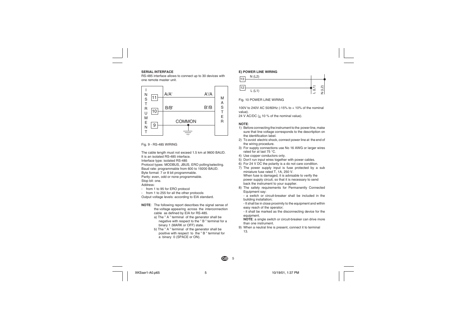#### **SERIAL INTERFACE**

 RS-485 interface allows to connect up to 30 devices with one remote master unit.



#### Fig. 9 - RS-485 WIRING

The cable length must not exceed 1.5 km at 9600 BAUD. It is an isolated RS-485 interface. Interface type: isolated RS-485 Protocol types: MODBUS, JBUS, ERO polling/selecting. Baud rate: programmable from 600 to 19200 BAUD. Byte format: 7 or 8 bit programmable. Parity: even, odd or none programmable. Stop bit: one.

#### Address:

- from 1 to 95 for ERO protocol
- from 1 to 255 for all the other protocols
- Output voltage levels: according to EIA standard.
- **NOTE**: The following report describes the signal sense of the voltage appearing across the interconnection cable as defined by EIA for RS-485. a) The " A " terminal of the generator shall be negative with respect to the " B " terminal for a
	- binary 1 (MARK or OFF) state. b) The " A " terminal of the generator shall be positive with respect to the " B " terminal for a binary 0 (SPACE or ON).

#### **E) POWER LINE WIRING**



Fig. 10 POWER LINE WIRING

100V to 240V AC 50/60Hz (-15% to + 10% of the nominal value).

24 V AC/DC  $(\pm 10 \% \text{ of the nominal value})$ .

#### **NOTE**:

- 1) Before connecting the instrument to the power line, make sure that line voltage corresponds to the descrtiption on the identification label.
- 2) To avoid electric shock, connect power line at the end of the wiring procedure.
- 3) For supply connections use No 16 AWG or larger wires rated for at last 75 °C.
- 4) Use copper conductors only.
- 5) Don't run input wires together with power cables.
- 6) For 24 V DC the polarity is a do not care condition.
- $\overline{7}$ ) The power supply input is fuse protected by a sub miniature fuse rated T, 1A, 250 V. When fuse is damaged, it is advisable to verify the power supply circuit, so that it is necessary to send
- back the instrument to your supplier. 8) The safety requirements for Permanently Connected Equipment say:
	- a switch or circuit-breaker shall be included in thebuilding installation;
	- It shall be in close proximity to the equipment and within easy reach of the operator;
	- it shall be marked as the disconnecting device for the equipment.
- **NOTE**: a single switch or circuit-breaker can drive more than one instrument.
- 9) When a neutral line is present, connect it to terminal 13.

#### **GB** 5

XKSser1-A0.p65 5 10/19/01, 1:37 PM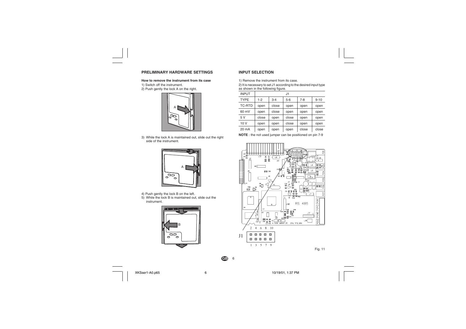#### **PRELIMINARY HARDWARE SETTINGS**

**How to remove the instrument from its case** 1) Switch off the instrument. 2) Push gently the lock A on the right.



3) While the lock A is maintained out, slide out the right side of the instrument.



4) Push gently the lock B on the left. 5) While the lock B is maintained out, slide out the instrument.



#### **INPUT SELECTION**

1) Remove the instrument from its case. 2) It is necessary to set J1 according to the desired input type as shown in the following figure.

| <b>INPUT</b> |       |         | J1      |         |          |
|--------------|-------|---------|---------|---------|----------|
| <b>TYPE</b>  | $1-2$ | $3 - 4$ | $5 - 6$ | $7 - 8$ | $9 - 10$ |
| TC-RTD       | open  | close   | open    | open    | open     |
| 60 mV        | open  | close   | open    | open    | open     |
| 5V           | close | open    | close   | open    | open     |
| 10 V         | open  | open    | close   | open    | open     |
| 20 mA        | open  | open    | open    | close   | close    |

**NOTE** : the not used jumper can be positioned on pin 7-9



Fig. 11

**GB** 6

XKSser1-A0.p65 6 10/19/01, 1:37 PM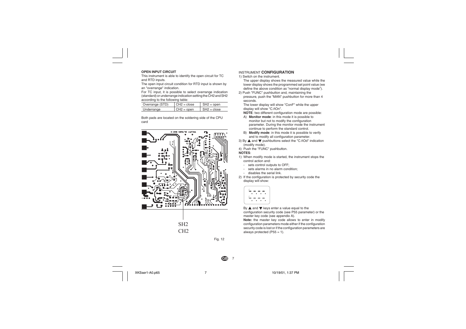#### **OPEN INPUT CIRCUIT**

 This instrument is able to identify the open circuit for TC and RTD inputs.

The open input circuit condition for RTD input is shown by an "overrange" indication.

For TC input, it is possible to select overrange indication (standard) or underrange indication setting the CH2 and SH2

| according to the following table: |               |              |  |  |
|-----------------------------------|---------------|--------------|--|--|
| Overrange (STD)                   | $CH2 = close$ | $SH2 = open$ |  |  |

| Underrange | $CH2 = open$ | $SH2 = close$ |
|------------|--------------|---------------|
|            |              |               |

Both pads are located on the soldering side of the CPU card



Fig. 12

#### **GB** 7

XKSser1-A0.p65 7 10/19/01, 1:37 PM



- 1) Switch on the instrument.
- The upper display shows the measured value while the lower display shows the programmed set point value (we define the above condition as "normal display mode").
- 2) Push "FUNC" pushbutton and, maintaining the pressure, push the "MAN" pushbutton for more than 4 seconds.
	- The lower display will show "ConF" while the upper display will show "C.ñOn".
	- **NOTE**: two different configuration mode are possible:
- A) **Monitor mode**: in this mode it is possible to monitor but not to modify the configuration parameter. During the monitor mode the instrument continue to perform the standard control.
- B) **Modify mode**: in this mode it is possible to verify and to modify all configuration parameter.
- 3) By ▲ and ▼ pushbuttons select the "C.ñOd" indication (modify mode).
- 4) Push the "FUNC" pushbutton.

**NOTES**:

- 1) When modify mode is started, the instrument stops the control action and:
- sets control outputs to OFF;
- sets alarms in no alarm condition:
- disables the serial link.
- 2) If the configuration is protected by security code the display will show:



By  $\blacktriangle$  and  $\blacktriangledown$  keys enter a value equal to the configuration security code (see P55 parameter) or the master key code (see appendix A). **Note:** the master key code allows to enter in modify configuration parameters mode either if the configuration security code is lost or if the configuration parameters are always protected (P55 = 1).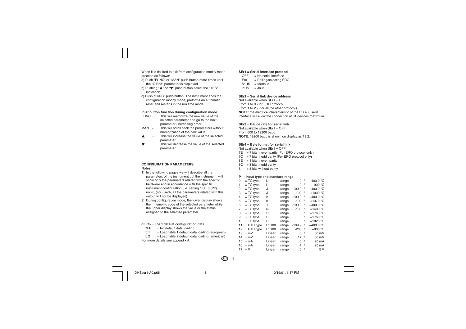When it is desired to exit from configuration modify mode proceed as follows:

- a) Push "FUNC" or "MAN" push-button more times until the "C.End" parameter is displayed.
- b) Pushing "▲" or "▼" push-button select the "YES" indication.
- c) Push "FUNC" push-button. The instrument ends the configuration modify mode, preforms an automatic reset and restarts in the run time mode.

#### **Pushbutton function during configuration mode**

- $FUNC =$  This will memorize the new value of the selected parameter and go to the next parameter (increasing order).
- MAN = This will scroll back the parameters without memorization of the new value.
- <sup>=</sup> This will increase the value of the selectedparameter
- $\blacktriangledown$  <sup>=</sup> This will decrease the value of the selected parameter.

### **CONFIGURATION PARAMETERS**

- **Notes:**
- 1) In the following pages we will describe all the parameters of the instrument but the instrument will show only the parameters related with the specific hardware and in accordance with the specific instrument configuration (i.e. setting OUT 3 (P7) = nonE, (not used), all the parameters related with this output will not be displayed).
- 2) During configuration mode, the lower display shows the mnemonic code of the selected parameter while the upper display shows the value or the status assigned to the selected parameter.

#### **dF.Cn = Load default configuration data**

- $OFF = No$  default data loading
- $tb.1 =$  Load table 1 default data loading (european)  $tb.2 =$  Load table 2 default data loading (american) For more datails see appendix A.
- 

## **SEr1 = Serial interface protocol**

- $OFF = No$  serial interface
- Ero = Polling/selecting ERO
- ñbUS = Modbus jbUS = Jbus
- **SEr2 = Serial link device address**

#### Not available when SEr1 = OFF From 1 to 95 for ERO protocol From 1 to 255 for all the other protocols **NOTE**: the electrical characteristic of the RS 485 serialinterface will allow the connection of 31 devices maximum.

#### **SEr3 = Baude rate for serial link**

Not available when SEr1 = OFF From 600 to 19200 baud.**NOTE**: 19200 baud is shown on display as 19.2.

### **SEr4 = Byte format for serial link**

- Not available when  $SET1 = OFF$  $7E = 7$  bits + even parity (For ERO protocol only)
- $70 = 7$  bits + odd parity (For ERO protocol only)
- $8E = 8 \text{ bits} + \text{even parity}$
- $8O = 8 \text{ bits} + \text{ odd}$  parity
- $8 = 8$  bits without parity

#### **P1 - Input type and standard range**

| 0  | $= TC$ type  | L      | range | 0        |          | +400.0 °C         |
|----|--------------|--------|-------|----------|----------|-------------------|
| 1  | $= TC$ type  | L      | range | 0        |          | +900 $^{\circ}$ C |
| 2  | $= TC$ type  | J      | range | $-100.0$ |          | $+400.0 °C$       |
| 3  | $= TC$ type  | J      | range | $-100$   |          | $+1000 °C$        |
| 4  | $= TC$ type  | Κ      | range | $-100.0$ |          | +400.0 °C         |
| 5  | $= TC$ type  | Κ      | range | $-100$   | $\prime$ | $+1370 °C$        |
| 6  | $= TC$ type  | Т      | range | $-199.9$ | 1        | +400.0 °C         |
| 7  | $= TC$ type  | Ν      | range | $-100$   | $\prime$ | $+1400 °C$        |
| 8  | $= TC$ type  | R      | range | 0        |          | +1760 $°C$        |
| 9  | $= TC$ type  | S      | range | 0        |          | $+1760 °C$        |
| 10 | $= TC$ type  | B      | range | 0        |          | +1820 $°C$        |
| 11 | $=$ RTD type | Pt 100 | range | $-199.9$ | 1        | $+400.0 °C$       |
| 12 | $=$ RTD type | Pt 100 | range | $-200$   |          | $+800 °C$         |
| 13 | $= mV$       | Linear | range | 0        | 1        | 60 mV             |
| 14 | $= mV$       | Linear | range | 12       | $\prime$ | 60 mV             |
| 15 | $= mA$       | Linear | range | 0        |          | 20 mA             |
| 16 | $= mA$       | Linear | range | 4        |          | 20 mA             |
| 17 | $= V$        | Linear | range | 0        |          | 5 V               |

#### **GB** 8

XKSser1-A0.p65 8 10/19/01, 1:37 PM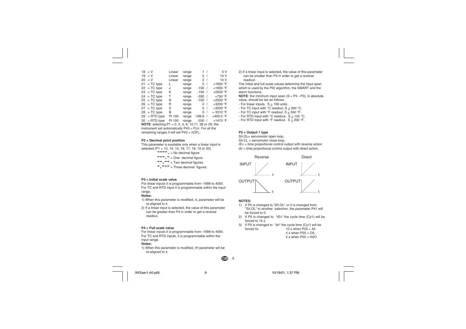| $18 = V$                                                      | Linear | range | 1                                  | 5 V                |
|---------------------------------------------------------------|--------|-------|------------------------------------|--------------------|
| 19<br>$= V$                                                   | Linear | range | 0                                  | 10 V               |
| 20<br>$= V$                                                   | Linear | range | 2/                                 | 10 V               |
| $21 = TC$ type                                                | L      | range | 0<br>$\prime$                      | +1650 °F           |
| $22 = TC$ type                                                | J      | range | $-150$                             | +1830 $°F$         |
| $23 = TC$ type                                                | Κ      | range | $-150/$                            | +2500 $°F$         |
| $24 = TC$ type                                                | т      | range | $-330$<br>$\overline{\phantom{a}}$ | $+750$ °F          |
| $25 = TC$ type                                                | Ν      | range | $-150$<br>$\overline{\phantom{a}}$ | +2550 $°F$         |
| $26$ = TC type                                                | R      | range | 0<br>$\sqrt{ }$                    | +3200 °F           |
| $27 = TC$ type                                                | S      | range | 0<br>$\prime$                      | +3200 $^{\circ}$ F |
| $28 = TC$ type                                                | B      | range | 0<br>$\prime$                      | +3310 °F           |
| $29 =$ RTD type                                               | Pt 100 | range | $-199.9$<br>$\sqrt{ }$             | +400.0 $\degree$ F |
| $30 =$ RTD type                                               | Pt 100 | range | $-330$<br>$\sqrt{ }$               | +1470 $\degree$ F  |
| <b>NOTE:</b> selecting P1 = 0, 2, 4, 6, 10, 11, 28 or 29, the |        |       |                                    |                    |
| instrument set automatically P43 = FLtr. For all the          |        |       |                                    |                    |
| remaining ranges it will set P43 = nOFL.                      |        |       |                                    |                    |

#### **P2 = Decimal point position**

This parameter is available only when a linear input is selected (P1 = 13, 14, 15, 16, 17, 18, 19 or 20).

- $---<sub>1</sub>$  = No decimal figure.
- $--- -$  = One decimal figure.
- $--- -$  = Two decimal figures.
- $-$ .  $-$  Three decimal figures.

#### **P3 = Initial scale value**

 For linear inputs it is programmable from -1999 to 4000. For TC and RTD input it is programmable within the input range.

#### **Notes:**

- 1) When this parameter is modified, rL parameter will be re-aligned to it.
- 2) If a linear input is selected, the value of this parameter can be greater than P4 in order to get a reverse readout.

#### **P4 = Full scale value**

- For linear inputs it is programmable from -1999 to 4000. For TC and RTD inputs, it is programmable within the input range.
- **Notes:**
- 1) When this parameter is modified, rH parameter will be re-aligned to it.

# **GB** 9

XKSser1-A0.p65 9 10/19/01, 1:37 PM

- 2) If a linear input is selected, the value of this parameter can be smaller than P3 in order to get a reverse
- readout.
- The initial and full scale values determine the input span which is used by the PID algorithm, the SMART and the alarm functions.
- **NOTE:** the minimum input span  $(S = P4 P3)$ , in absolute value, should be set as follows:
- For linear inputs,  $S \ge 100$  units.
- For TC input with  $°C$  readout, S  $\geq 300$  °C.
- For TC input with  $\degree$ F readout, S  $>$  550  $\degree$ F.
- For RTD input with °C readout, S > 100 °C.
- For RTD input with  $\degree$ F readout, S  $\geq$  200  $\degree$ F.

#### **P5 = Output 1 type**

#### Sñ.OL= servomotor open loop. Sñ.CL = servomotor close loop.

rEv = time proportional control output with reverse action dir = time proportional control output with direct action.



#### **NOTES:**

- 1) If P5 is changed to "Sñ.OL" or it is changed from "Sñ.OL" to another selection, the parameter P41 will be forced to 0.
- 2) If P5 is changed to "rEv" the cycle time (Cy1) will be forced to 15 s
- 3) If P5 is changed to "dir" the cycle time (Cy1) will be forced to:  $10 \text{ s}$  when  $P25 = Air$ 4 s when  $P25 = OIL$ 2 s when P25 = H2O

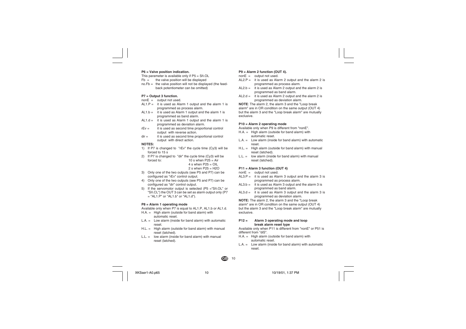#### **P6 = Valve position indication.**

- This parameter is available only if  $P5 = S\tilde{p}$ . OL
- $Fb =$  the valve position will be displayed
- no.Fb = the valve position will not be displayed (the feedback potentiometer can be omitted)

#### **P7 = Output 3 function.**

- $none =$  output not used.
- AL1.P = it is used as Alarm 1 output and the alarm 1 is programmed as process alarm.
- AL1.b =  $\overline{\phantom{a}}$  it is used as Alarm 1 output and the alarm 1 is programmed as band alarm.
- $AL1.d =$  it is used as Alarm 1 output and the alarm 1 is programmed as deviation alarm.
- $rEv =$  it is used as second time proportional control output with reverse action.
- dir = it is used as second time proportional control output with direct action.
- **NOTES:**
- 1) If P7 is changed to "rEv" the cycle time (Cy3) will be forced to 15 s
- 2) If P7 is changed to "dir" the cycle time (Cy3) will be forced to:  $10 \text{ s}$  when  $P25 = Air$  $4 s$  when  $P25 = OIL$ 2 s when P25 = H2O
- 3) Only one of the two outputs (see P5 and P7) can be configured as "rEv" control output.
- 4) Only one of the two outputs (see P5 and P7) can be configured as "dir" control output.
- 5) If the servomotor output is selected (P5 ="Sñ.OL" or "Sñ.CL") the OUT 3 can be set as alarm output only (P7  $=$  "AL1. $P$ " or "AL1.b" or "AL1.d").

#### **P8 = Alarm 1 operating mode**

- Available only when P7 is equal to AL1.P, AL1.b or AL1.d. H.A. = High alarm (outside for band alarm) with
- automatic reset. L.A. = Low alarm (inside for band alarm) with automatic reset.
- H.L. = High alarm (outside for band alarm) with manual reset (latched).
- $L.L. =$  low alarm (inside for band alarm) with manual reset (latched).

#### **P9 = Alarm 2 function (OUT 4).**  $nonF =$  output not used.

- 
- $AL2.P =$  it is used as Alarm 2 output and the alarm 2 is programmed as process alarm.
- $AL2.b =$  it is used as Alarm 2 output and the alarm 2 is programmed as band alarm.
- AL2.d = it is used as Alarm 2 output and the alarm 2 is programmed as deviation alarm.

**NOTE**: The alarm 2, the alarm 3 and the "Loop break alarm" are in OR condition on the same output (OUT 4) but the alarm 3 and the "Loop break alarm" are mutually exclusive.

#### **P10 = Alarm 2 operating mode**

- Available only when P9 is different from "nonE".  $H.A. =$  High alarm (outside for band alarm) with
- automatic reset.
- L.A. = Low alarm (inside for band alarm) with automatic reset.
- H.L. = High alarm (outside for band alarm) with manual reset (latched).
- L.L. = low alarm (inside for band alarm) with manual reset (latched).

#### **P11 = Alarm 3 function (OUT 4)**

#### $none =$  output not used.

- $AL3.P =$  it is used as Alarm 3 output and the alarm 3 is programmed as process alarm.
- $AL3.b =$  it is used as Alarm 3 output and the alarm 3 is programmed as band alarm.
- $AL3.d =$  it is used as Alarm 3 output and the alarm 3 is programmed as deviation alarm.

**NOTE:** The alarm 2, the alarm 3 and the "Loop break alarm" are in OR condition on the same output (OUT 4) but the alarm 3 and the "Loop break alarm" are mutually exclusive.

#### **P12 = Alarm 3 operating mode and loop break alarm reset type**

Available only when P11 is different from "nonE" or P51 is different from "diS".

- H.A. = High alarm (outside for band alarm) with automatic reset.
- L.A. = Low alarm (inside for band alarm) with automatic reset.

**GB** 10

XKSser1-A0.p65 10 10/19/01, 1:37 PM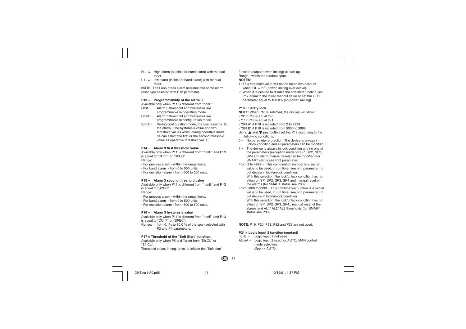- H.L. = High alarm (outside for band alarm) with manual reset.
- $L.L. =$  low alarm (inside for band alarm) with manual reset.

 **NOTE:** The Loop break alarm assumes the same alarm reset type selected with P12 parameter.

#### **P13 = Programmability of the alarm 3.**

- Available only when P11 is different from "nonE". OPrt = Alarm 3 threshold and hysteresis are
	- programmable in operating mode.
- COnF = Alarm 3 threshold and hysteresis are programmable in configuration mode.
- SPEC= During configuration mode, the user assigns to the alarm 3 the hysteresis value and two threshold values while, during operative mode, he can select the first or the second thresholdvalue as operative threshold value.

#### **P14 = Alarm 3 first threshold value.**

 Available only when P11 is different from "nonE" and P13 is equal to "COnF" or "SPEC". Range: - For process alarm - within the range limits.

- For band alarm - from 0 to 500 units.- For deviation alarm - from -500 to 500 units.

#### **P15 = Alarm 3 second threshold value**

 Available only when P11 is different from "nonE" and P13 is equal to "SPEC". Range: - For process alarm - within the range limits.

- For band alarm from 0 to 500 units.
- For deviation alarm from -500 to 500 units.

#### **P16 = Alarm 3 hysteresis value**

Available only when P11 is different from "nonE" and P13 is equal to "COnF" or "SPEC". Range: from 0.1% to 10.0 % of the span selected with P3 and P4 parameters.

#### **P17 = Threshold of the "Soft Start" function.**

 Available only when P5 is different from "Sñ.OL" or "Sñ.CL".Threshold value, in eng. units, to initiate the "Soft start" function (output power limiting) at start up. Range : within the readout span. **NOTES**:

1) This threshold value will not be taken into account when  $tOL = InF$  (power limiting ever active).

2) When it is desired to disable the soft start function, set P17 equal to the lower readout value or set the OLH parameter equal to 100.0% (no power limiting).

#### **P18 = Safety lock**

**NOTE**: When P18 is selected, the display will show: - "0" if P18 is equal to 0

- "1" if P18 is equal to 1

- "SFt.A" if P18 is included from 2 to 4999
- "SFt.B" if P18 is included from 5000 to 9999.
- Using  $\triangle$  and  $\nabla$  pushbutton set the P18 according to the following conditions:
- $0 =$ No parameter protection. The device is always in unlock condition and all parameters can be modified.
- $1 =$  The device is always in lock condition and no one of the parameters (exception made for SP, SP2, SP3, SP4 and alarm manual reset) can be modified (for SMART status see P33 parameter).
- From 2 to 4999 = This combination number is a secret value to be used, in run time (see nnn parameter) to put device in lock/unlock condition. With this selection, the lock/unlock condition has no effect on SP, SP2, SP3, SP4 and manual reset of the alarms (for SMART status see P33).
- From 5000 to 9999 = This combination number is a secret value to be used, in run time (see nnn parameter) to put device in lock/unlock condition. With this selection, the lock/unlock condition has no effect on SP, SP2, SP3, SP4 , manual reset of the alarms and AL1/ AL2/ AL3 thresholds (for SMART status see P33).

**NOTE**: P19, P20, P21, P22 and P23 are not used.

#### **P24 = Logic input 2 function (contact)**

**GB** 11

 $none = Logic input 2 not used$ AU.nA = Logic input 2 used for AUTO/ MAN control mode selection. Open = AUTO

XKSser1-A0.p65 11 11 10019/01, 1:37 PM

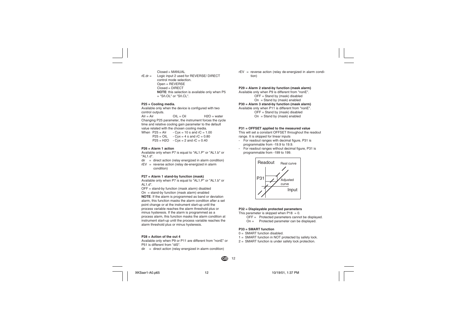#### Closed = MANUAL rE.dr = Logic input 2 used for REVERSE/ DIRECT control mode selection. Open = REVERSE Closed = DIRECT **NOTE**: this selection is available only when P5 = "Sñ.OL" or "Sñ.CL".

#### **P25 = Cooling media.**

Available only when the device is configured with two control outputs.<br>Alr = Air  $OL = Oil$   $H2O = water$ Changing P25 parameter, the instrument forces the cycle

time and relative cooling gain parameter to the default value related with the chosen cooling media. When  $P25 = Alr - Cyx = 10$  s and  $rC = 1.00$ 

 $P25 = OIL - Cyx = 4 s and rC = 0.80$  $P25 = H2O$  - Cvx = 2 and rC = 0.40

#### **P26 = Alarm 1 action**

condition)

 Available only when P7 is equal to "AL1.P" or "AL1.b" or "AL1.d".

 dir <sup>=</sup> direct action (relay energized in alarm condition)  $rEV =$  reverse action (relay de-energized in alarm

#### **P27 = Alarm 1 stand-by function (mask)**

Available only when P7 is equal to "AL1.P" or "AL1.b" or AL1.d".

OFF = stand-by function (mask alarm) disabled On = stand-by function (mask alarm) enabled **NOTE**: If the alarm is programmed as band or deviation alarm, this function masks the alarm condition after a set point change or at the instrument start-up until the process variable reaches the alarm threshold plus or minus hysteresis. If the alarm is programmed as a process alarm, this function masks the alarm condition at instrument start-up until the process variable reaches the alarm threshold plus or minus hysteresis.

#### **P28 = Action of the out 4**

 Available only when P9 or P11 are different from "nonE" or P51 is different from "diS".

rEV <sup>=</sup> reverse action (relay de-energized in alarm condition)

#### **P29 = Alarm 2 stand-by function (mask alarm)**

Available only when P9 is different from "nonE".  $OFF =$  Stand by (mask) disabled On = Stand by  $(mask)$  enabled **P30 = Alarm 3 stand-by function (mask alarm)** Available only when P11 is different from "nonE".  $OFF =$  Stand by (mask) disabled On = Stand by  $(mask)$  enabled

#### **P31 = OFFSET applied to the measured value**

This will set a constant OFFSET throughout the readout range. It is skipped for linear inputs

- For readout ranges with decimal figure, P31 is programmable from -19.9 to 19.9.
- For readout ranges without decimal figure, P31 is programmable from -199 to 199.



#### **P32 = Displayable protected parameters**

- This parameter is skipped when  $P18 = 0$ .
	- OFF = Protected parameters cannot be displayed. On = Protected parameter can be displayed.

#### **P33 = SMART function**

**GB** 12

- 0 = SMART function disabled.
- 1 = SMART function in NOT protected by safety lock.
- 2 = SMART function is under safety lock protection.

 $dir = direct action (relay energized in alarm condition)$ 

XKSser1-A0.p65 12 12 12 12 10/19/01, 1:37 PM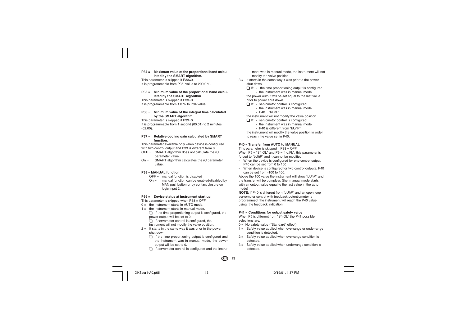#### **P34 = Maximum value of the proportional band calculated by the SMART algorithm.**

This parameter is skipped if P33=0. It is programmable from P35 value to 200.0 %.

#### **P35 = Minimum value of the proportional band calculated by the SMART algorithm**

This parameter is skipped if P33=0. It is programmable from 1.0 % to P34 value.

#### **P36 = Minimum value of the integral time calculated by the SMART algorithm.**

This parameter is skipped if P33=0. It is programmable from 1 second (00.01) to 2 minutes (02.00).

#### **P37 = Relative cooling gain calculated by SMART function.**

 This parameter available only when device is configured with two control output and P33 is different from 0.

- OFF = SMART algorithm does not calculate the rC parameter value
- On = SMART algorithm calculates the rC parameter value.

#### **P38 = MANUAL function**

OFF = manual function is disabled

On = manual function can be enabled/disabled by MAN pushbutton or by contact closure on logic input 2.

#### **P39 = Device status at instrument start up.**

This parameter is skipped when P38 = OFF.

- $0 =$  the instrument starts in AUTO mode.
- $1 =$  the instrument starts in manual mode. If the time proportioning output is configured, the power output will be set to 0.  $\Box$  If servomotor control is configured, the

instrument will not modify the valve position.

- 2 = It starts in the same way it was prior to the power shut down.
	- $\Box$  If the time proportioning output is configured and the instrument was in manual mode, the power output will be set to 0.
	- $\Box$  If servomotor control is configured and the instru-

**GB** 13

#### ment was in manual mode, the instrument will not modify the valve position.

- 3 = It starts in the same way it was prior to the power shut down.
	- $\Box$  If: the time proportioning output is configured - the instrument was in manual modethe power output will be set equal to the last value
	- prior to power shut down.  $\Box$  If: - servomotor control is configured
	- the instrument was in manual mode
		- P40 = "bUnP"
	- the instrument will not modify the valve position.
	- If: servomotor control is configured
		- the instrument was in manual mode
		- P40 is different from "bUñP"

 the instrument will modify the valve position in order to reach the value set in P40.

#### **P40 = Transfer from AUTO to MANUAL**

This parameter is skipped if P38 = OFF When  $PS = "Sñ.OL"$  and  $PS = "no.Fb"$ , this parameter is forced to "bUñP" and it cannot be modified.

- When the device is configured for one control output, P40 can be set from 0 to 100
- When device is configured for two control outputs, P40 can be set from -100 to 100.

Above the 100 value the instrument will show "bUñP" and the transfer will be bumpless (the manual mode starts with an output value equal to the last value in the auto mode)

**NOTE**: If P40 is different from "bUñP" and an open loop servomotor control with feedback potentiometer is programmed, the instrument will reach the P40 value using the feedback indication.

#### **P41 = Conditions for output safety value**

When P5 is different from "Sñ.OL" the P41 possible selections are:

0 = No safety value ("Standard" effect)

- 1 = Safety value applied when overrange or underrange condition is detected.
- 2 = Safety value applied when overrange condition is detected.
- 3 = Safety value applied when underrange condition is detected.

XKSser1-A0.p65 13 13 10/19/01, 1:37 PM

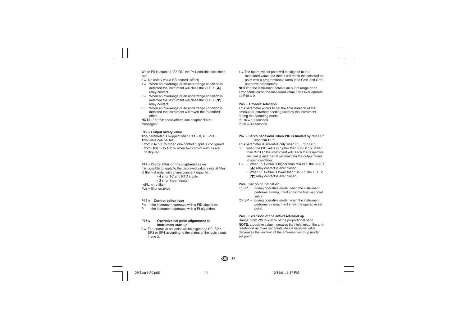When P5 is equal to "Sñ.OL" the P41 possible selections are:

- 0 = No safety value ("Standard" effect)
- 4 = When an overrange or an underrange condition is detected the instrument will close the OUT 1  $(A)$ relay contact.
- 5 = When an overrange or an underrange condition is detected the instrument will close the OUT 2  $(\blacktriangledown)$ relay contact.
- 6 = When an overrange or an underrange condition is detected the instrument will revert the "standard"effect.

 **NOTE**: For "Standard effect" see chapter "Error messages".

#### **P42 = Output safety value**

This parameter is skipped when  $P41 = 0, 4, 5$  or 6.

This value can be set

- from 0 to 100 % when one control output is configured - from -100 % to 100 % when two control outputs are
- configured.

#### **P43 = Digital filter on the displayed value**

- It is possible to apply to the displayed value a digital filter of the first order with a time constant equal to : - 4 s for TC and RTD inputs - 2 s for linear inputs noFL. = no filterFLtr = filter enabled
- 

#### **P44 = Control action type**

- Pid the instrument operates with a PID algorithm.
- Pi the instrument operates with a PI algorithm.

#### **P45 = Operative set point alignement at instrument start up.**

 $0 =$  The operative set point will be aligned to SP, SP2, SP3 or SP4 according to the status of the logic inputs 1 and 3.

1 = The operative set point will be aligned to the measured value and then it will reach the selected setpoint with a programmable ramp (see Grd1 and Grd2 operative parameters).

**NOTE**: if the instrument detects an out of range or an error condition on the measured value it will ever operate as P45 = 0.

#### **P46 = Timeout selection**

 This parameter allows to set the time duration of the timeout for parameter setting used by the instrument during the operating mode. tñ.  $10 = 10$  seconds tñ  $30 = 30$  seconds

#### **P47 = Servo behaviour when PID is limited by "Sn.LL" and "Sn.HL"**

This parameter is available only when P5 = "Sñ.CL".

(▼) relay contact is ever closed.

- $0 =$  when the PID value is higher than "Sñ.HL" or lower than "Sñ.LL" the instrument will reach the respective limit value and than it will maintain the output relays in open condition.
- $1 = -$  When PID value is higher than "Sñ.HL", the OUT 1  $(A)$  relay contact is ever closed. - When PID value is lower than "Sñ.LL", the OUT 2

#### **P48 = Set point indication**

- $Fn.SP =$  during operative mode, when the instrument performs a ramp, it will show the final set point value.
- OP.SP = during operative mode, when the instrument performs a ramp, it will show the operative set point.

#### **P49 = Extension of the anti-reset-wind up**

Range: from -30 to +30 % of the proportional band. **NOTE**: a positive value increases the high limit of the antireset-wind up (over set point) while a negative value decreases the low limit of the anti-reset-wind up (under set point).

**GB** 14

XKSser1-A0.p65 14 10/19/01, 1:37 PM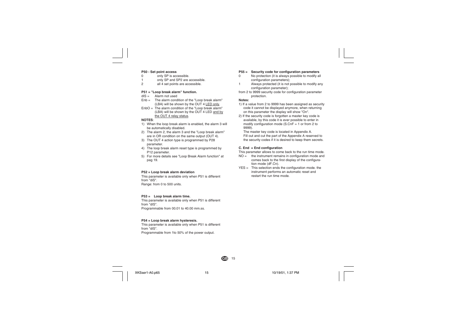# **P50 - Set point access**<br>0 0 0 0 0 PHs acc

- 0 only SP is accessible.
- only SP and SP2 are accessible.
- 2 all 4 set points are accessible.

#### **P51 = "Loop break alarm" function.**

- dIS = Alarm not used
- Enb = The alarm condition of the "Loop break alarm" (LBA) will be shown by the OUT 4 LED only.
- EnbO = The alarm condition of the "Loop break alarm" (LBA) will be shown by the OUT 4 LED and by the OUT 4 relay status.

#### **NOTES**:

- 1) When the loop break alarm is enabled, the alarm 3 will be automatically disabled.
- 2) The alarm 2, the alarm 3 and the "Loop break alarm" are in OR condition on the same output (OUT 4).
- 3) The OUT 4 action type is programmed by P28 parameter.
- 4) The loop break alarm reset type is programmed by P12 parameter.
- 5) For more details see "Loop Break Alarm function" at pag 19.

#### **P52 = Loop break alarm deviation**

This parameter is available only when P51 is different from "diS".Range: from 0 to 500 units.

#### **P53 = Loop break alarm time.**

This parameter is available only when P51 is different from "dIS".Programmable from 00.01 to 40.00 mm.ss.

#### **P54 = Loop break alarm hysteresis.**

This parameter is available only when P51 is different from "dIS".Programmable from 1to 50% of the power output.

# **P55 = Security code for configuration parameters**<br>0 **No protection (it is always possible to modify all**

- No protection (it is always possible to modify all configuration parameters);
- 1 Always protected (it is not possible to modify any configuration parameter);
- from 2 to 9999 security code for configuration parameter protection.

#### **Notes:**

- 1) If a value from 2 to 9999 has been assigned as security code it cannot be displayed anymore, when returning on this parameter the display will show "On".
- 2) If the security code is forgotten a master key code is available, by this code it is ever possible to enter in modify configuration mode (S.CnF = 1 or from 2 to 9999).
- The master key code is located in Appendix A. Fill out and cut the part of the Appendix A reserved to the security codes if it is desired to keep them secrets.

#### **C. End = End configuration**

- This parameter allows to come back to the run time mode. NO = the instrument remains in configuration mode and
- comes back to the first display of the configuration mode (dF.Cn).
- $YES = This selection ends the confiauration mode.$ instrument performs an automatic reset and restart the run time mode.

**GB** 15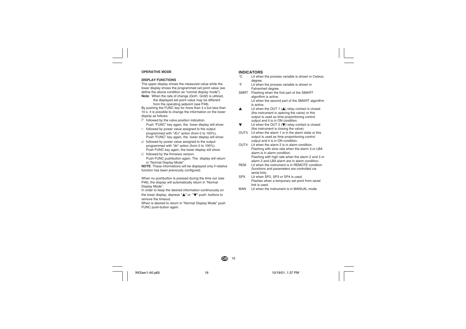#### **OPERATIVE MODE**

#### **DISPLAY FUNCTIONS**

 The upper display shows the measured value while the lower display shows the programmed set point value (we define the above condition as "normal display mode"). **Note**: When the rate of change (Grd1, Grd2) is utilized,

the displayed set point value may be different from the operating setpoint (see P48). By pushing the FUNC key for more than 3 s but less than 10 s. it is possible to change the information on the lower

display as follows:

P. followed by the valve position indication.

Push "FUNC" key again, the lower display will show: - followed by power value assigned to the output programmed with "rEv" action (from 0 to 100%).

Push "FUNC" key again, the lower display will show: d followed by power value assigned to the output programmed with "dir" action (from 0 to 100%). Push FUNC key again, the lower display will show:

L! followed by the firmware version. Push FUNC pushbutton again. The display will return in "Normal Display Mode".

**NOTE**: These informations will be displayed only if relative function has been previously configured.

When no pushbutton is pressed during the time out (see P46), the display will automatically return in "Normal Display Mode".

In order to keep the desired information continuously on the lower display, depress "▲" or "▼" push- buttons to remove the timeout.

 When is desired to return in "Normal Display Mode" push FUNC push-button again.

#### **INDICATORS**

- °C Lit when the process variable is shown in Celsius degree.
- °F Lit when the process variable is shown in Fahrenheit degree.
- SMRT Flashing when the first part of the SMART algorithm is active. Lit when the second part of the SMART algorithm is active.
- $\blacktriangle$ Lit when the OUT 1  $(A)$  relay contact is closed (the instrument is opening the valve) or this output is used as time proportioning control output and it is in ON condition.
- $\blacktriangledown$  $\blacktriangledown$  Lit when the OUT 2  $(\blacktriangledown)$  relay contact is closed (the instrument is closing the valve).
- OUT3 Lit when the alarm 1 is in the alarm state or thisoutput is used as time proportioning control output and it is in ON condition.
- OUT4 Lit when the alarm 2 is in alarm condition. Flashing with slow rate when the alarm 3 or LBA alarm is in alarm condition. Flashing with high rate when the alarm 2 and 3 or alarm 2 and LBA alarm are in alarm condition.
- REM Lit when the instrument is in REMOTE condition(functions and parameters are controlled via serial link).
- SPX Lit when SP2, SP3 or SP4 is used. Flashes when a temporary set point from serial link is used.
- MAN Lit when the instrument is in MANUAL mode.

**GB** 16

XKSser1-A0.p65 16 16 16 16 16 16 16 17 17 18 17 18 17 18 17 18 17 18 17 18 17 18 17 18 18 19 19 10 11 11 12 1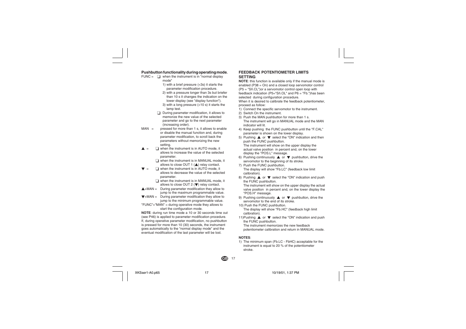#### **Pushbutton functionality during operating mode.**

- FUNC = when the instrument is in "normal display mode"
	- 1) with a brief pressure (<3s) it starts the parameter modification procedure. 2) with a pressure longer than 3s but briefer
	- than 10 s it changes the indication on the lower display (see "display function"). 3) with a long pressure (>10 s) it starts the lamp test.
	- During parameter modification, it allows to memorize the new value of the selected parameter and go to the next parameter (increasing order).
- $MAN =$  pressed for more than 1 s, it allows to enable or disable the manual function and, during parameter modification, to scroll back the parameters without memorizing the new setting.
- $\triangle$  =  $\Box$  when the instrument is in AUTO mode, it allows to increase the value of the selectedparameter.
	- when the instrument is in MANUAL mode, it allows to close OUT 1 (▲) relay contact.
- $\blacktriangledown$  =  $\Box$  when the instrument is in AUTO mode, it allows to decrease the value of the selectedparameter.
	- when the instrument is in MANUAL mode, it allows to close OUT 2 (▼) relay contact.
- $\triangle +$ MAN = During parameter modification they allow to jump to the maximum programmable value.
- ▼+MAN = During parameter modification they allow to jump to the minimum programmable value.
- "FUNC"+"MAN" = during operative mode they allows to start the configuration mode.

**NOTE**: during run time mode a 10 or 30 seconds time out (see P46) is applied to parameter modification procedure. If, during operative parameter modification, no pushbutton is pressed for more than 10 (30) seconds, the instrument goes automatically to the "normal display mode" and the eventual modification of the last parameter will be lost.

#### **FEEDBACK POTENTIOMETER LIMITSSETTING**

 **NOTE**: this function is available only if the manual mode is enabled (P38 = On) and a closed loop servomotor control (P5 = "Sñ.CL")or a servomotor control open loop with feedback indication (P5="Sñ.OL" and P6 = "Fb.")has been selected during configuration procedure. When it is desired to calibrate the feedback potentiometer.

- proceed as follow:
- 1) Connect the specific servomotor to the instrument.
- 2) Switch On the instrument.
- 3) Push the MAN pushbutton for more than 1 s. The instrument will go in MANUAL mode and the MAN indicator will lit.
- 4) Keep pushing the FUNC pushbutton until the "F.CAL" parameter is shown on the lower display.
- 5) Pushing ▲ or ▼ select the "ON" indication and then push the FUNC pushbutton. The instrument will show on the upper display the actual valve position in percent and, on the lower
- display the "POS.L" message. 6) Pushing continuously  $\triangle$  or  $\nabla$  pushbutton, drive the
- servomotor to the beginning of its stroke.
- 7) Push the FUNC pushbutton. The display will show "Fb.LC" (feedback low limit calibration).
- 8) Pushing ▲ or ▼ select the "ON" indication and push the FUNC pushbutton. The instrument will show on the upper display the actual valve position in percent and, on the lower display the "POS.H" message.
- 9) Pushing continuously  $\blacktriangle$  or  $\nabla$  pushbutton, drive the servomotor to the end of its stroke.
- 10) Push the FUNC pushbutton. The display will show "Fb.HC" (feedback high limit
- calibration). 11)Pushing ▲ or ▼ select the "ON" indication and push the FUNC pushbutton.
- The instrument memorizes the new feedbackpotentiometer calibration and return in MANUAL mode.

#### **NOTES**:

 1) The minimum span (Fb.LC - FbHC) acceptable for the instrument is equal to 20 % of the potentiometer stroke.

#### **GB** 17

XKSser1-A0.p65 17 17 10/19/01, 1:37 PM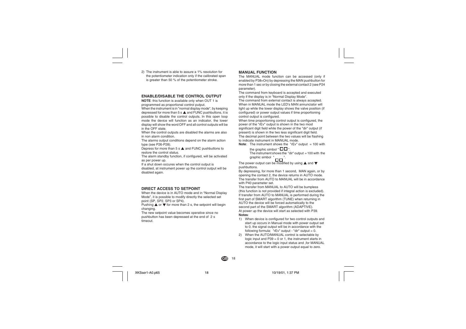2) The instrument is able to assure a 1% resolution for the potentiometer indication only if the calibrated span is greater than 50 % of the potentiometer stroke.

#### **ENABLE/DISABLE THE CONTROL OUTPUT**

**NOTE**: this function is available only when OUT 1 is

programmed as proportional control putput. When the instrument is in "normal display mode", by keeping depressed for more than  $5 s \triangle$  and  $\overline{\text{FUNC}}$  pushbuttons, it is possible to disable the control outputs. In this open loop mode the device will function as an indicator, the lower display will show the word OFF and all control outputs will be in the OFF state.

When the control outputs are disabled the alarms are also in non alarm condition.

 The alarms output conditions depend on the alarm action type (see P26-P28).

Depress for more than  $5 \text{ s}$  and FUNC pushbuttons to restore the control status.

 The alarm standby function, if configured, will be activated as per power up.

If a shut down occures when the control output is

disabled, at instrument power up the control output will be disabled again.

#### **DIRECT ACCESS TO SETPOINT**

 When the device is in AUTO mode and in "Normal Display Mode", it is possible to modify directly the selected set point (SP, SP2, SP3 or SP4).

Pushing  $\triangle$  or  $\nabla$  for more than 2 s, the setpoint will begin changing. The new setpoint value becomes operative since no

pushbutton has been depressed at the end of 2 s timeout.

#### **MANUAL FUNCTION**

The MANUAL mode function can be accessed (only if enabled by P38=On) by depressing the MAN pushbutton for more than 1 sec or by closing the external contact 2 (see P24 parameter).

The command from keyboard is accepted and executed only if the display is in "Normal Display Mode".

The command from external contact is always accepted. When in MANUAL mode the LED's MAN annunciator willlight up while the lower display shows the valve position (if configured) or power output values if time proportioning control output is configured.

When time proportioning control output is configured, the power of the "rEv" output is shown in the two most significant digit field while the power of the "dir" output (if present) is shown in the two less significant digit field. The decimal point between the two values will be flashing to indicate instrument in MANUAL mode.

**Note**: The instrument shows the "rEv" output = 100 with the graphic simbol " $\square \square$ ".

The instrument shows the "dir" output  $= 100$  with the Ine monomics.<br>graphic simbol  $\overline{a}$ 

The power output can be modified by using  $\triangle$  and  $\nabla$ pushbuttons.

By depressing, for more than 1 second, MAN again, or by opening the contact 2, the device returns in AUTO mode. The transfer from AUTO to MANUAL will be in accordancewith P40 parameter set.

The transfer from MANUAL to AUTO will be bumpless (this function is not provided if integral action is excluded). If transfer from AUTO to MANUAL is performed during the first part of SMART algorithm (TUNE) when returning in AUTO the device will be forced automatically to the second part of the SMART algorithm (ADAPTIVE). At power up the device will start as selected with P39. **Notes**:

- 1) When device is configured for two control outputs and start up occurs in Manual mode with power output set to 0, the signal output will be in accordance with the following formula: " $rEv$ " output - "dir" output = 0.
- 2) When the AUTO/MANUAL control is selectable by logic input and P39 = 0 or 1, the instrument starts in accordance to the logic input status and ,for MANUAL mode, it will start with a power output equal to zero.

#### **GB** 18

XKSser1-A0.p65 18 18 19/19/01, 1:37 PM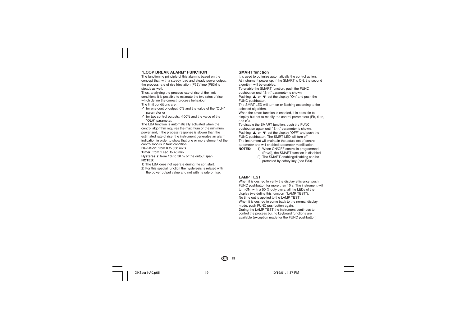#### **"LOOP BREAK ALARM" FUNCTION**

The functioning principle of this alarm is based on the concept that, with a steady load and steady power output, the process rate of rise [deviation (P52)/time (P53)] is steady as well.

Thus, analyzing the process rate of rise of the limit conditions it is possible to estimate the two rates of rise which define the correct process behaviour. The limit conditions are:

- $\checkmark$  for one control output: 0% and the value of the "OLH" parameter or
- $\checkmark$  for two control outputs: -100% and the value of the "OLH" parameter,

The LBA function is automatically activated when the control algorithm requires the maximum or the minimum power and, if the process response is slower than the estimated rate of rise, the instrument generates an alarm indication in order to show that one or more element of thecontrol loop is in fault condition.

**Deviation:** from 0 to 500 units.

**Timer:** from 1 sec. to 40 min.**Hysteresis**: from 1% to 50 % of the output span.

**NOTES:**

1) The LBA does not operate during the soft start.

2) For this special function the hysteresis is related with

the power output value and not with its rate of rise.

#### **SMART function**

It is used to optimize automatically the control action. At instrument power up, if the SMART is ON, the second algorithm will be enabled. To enable the SMART function, push the FUNC pushbutton until "Snrt" parameter is shown. Pushing  $\triangle$  or  $\nabla$  set the display "On" and push the FUNC pushbutton.

The SMRT LED will turn on or flashing according to the selected algorithm

When the smart function is enabled, it is possible to display but not to modify the control parameters (Pb, ti, td, and rC).

To disable the SMART function, push the FUNC pushbutton again until "Snrt" parameter is shown. Pushing  $\blacktriangle$  or  $\nabla$  set the display "OFF" and push the FUNC pushbutton. The SMRT LED will turn off. The instrument will maintain the actual set of controlparameter and will enabled parameter modification. **NOTES**: 1) When ON/OFF control is programmed

(Pb=0), the SMART function is disabled. 2) The SMART enabling/disabling can be protected by safety key (see P33).

#### **LAMP TEST**

**GB** 19

When it is desired to verify the display efficiency, push FUNC pushbutton for more than 10 s. The instrument will turn ON, with a 50 % duty cycle, all the LEDs of the display (we define this function "LAMP TEST"). No time out is applied to the LAMP TEST. When it is desired to come back to the normal display mode, push FUNC pushbutton again. During the LAMP TEST the instrument continues to control the process but no keyboard functions are available (exception made for the FUNC pushbutton).

XKSser1-A0.p65 19 19 19 10/19/01, 1:37 PM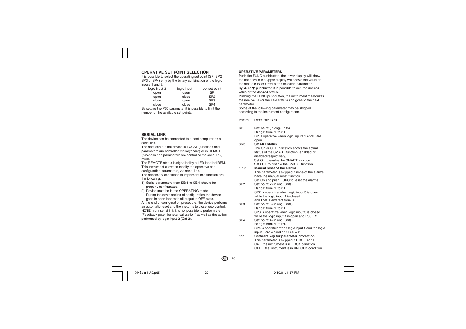#### **OPERATIVE SET POINT SELECTION**

It is possible to select the operating set point (SP, SP2, SP3 or SP4) only by the binary conbination of the logic inputs 1 and 3.

| logic input 3 | logic input 1                                         | op. set point   |
|---------------|-------------------------------------------------------|-----------------|
| open          | open                                                  | SP              |
| open          | close                                                 | SP <sub>2</sub> |
| close         | open                                                  | SP <sub>3</sub> |
| close         | close                                                 | SP <sub>4</sub> |
|               | setting the P50 parameter it is possible to limit the |                 |

By setting the P50 parameter it is possible to limit the number of the available set points.

#### **SERIAL LINK**

 The device can be connected to a host computer by a serial link.

 The host can put the device in LOCAL (functions and parameters are controlled via keyboard) or in REMOTE (functions and parameters are controlled via serial link) mode.

 The REMOTE status is signalled by a LED labelled REM. This instrument allows to modify the operative and configuration parameters, via serial link.

The necessary conditions to implement this function are the following:

- 1) Serial parameters from SEr1 to SEr4 should be properly configurated.
- 2) Device must be in the OPERATING mode During the downloading of configuration the device goes in open loop with all output in OFF state.

At the end of configuration procedure, the device performs an automatic reset and then returns to close loop control. **NOTE**: from serial link it is not possible to perform the "Feedback potentiometer calibration" as well as the action performed by logic input 2 (Cnt 2).

#### **OPERATIVE PARAMETERS**

 Push the FUNC pushbutton, the lower display will show the code while the upper display will shows the value or the status (ON or OFF) of the selected parameter. By  $\blacktriangle$  or  $\blacktriangledown$  pushbutton it is possible to set the desired value or the desired status. Pushing the FUNC pushbutton, the instrument memorizes the new value (or the new status) and goes to the next parameter. Some of the following parameter may be skipped

according to the instrument configuration.

Param. DESCRIPTION

- **CD** Set point (in eng. units). Range: from rL to rH. SP is operative when logic inputs 1 and 3 are open.
- Sñrt **SMART status**. The On or OFF indication shows the actualstatus of the SMART function (enabled or disabled respectively). Set On to enable the SMART function. Set OFF to disable the SMART function.
- ñ.rSt **Manual reset of the alarms**. This parameter is skipped if none of the alarms have the manual reset function.Set On and push FUNC to reset the alarms.
- SP2 **Set point 2** (in eng. units). Range: from rL to rH. SP2 is operative when logic input 3 is open while the logic input 1 is closed. and P50 is different from 0.
- **Set point 3** (in eng. units). SP3Range: from rL to rH. SP3 is operative when logic input 3 is closed while the logic input 1 is open and  $P50 = 2$
- SP4 **Set point 4** (in eng. units). Range: from rL to rH. SP4 is operative when logic input 1 and the logic input 3 are closed and  $\overline{P50} = 2$ .
- nnn **Software key for parameter protection**. This parameter is skipped if  $P18 = 0$  or 1 On = the instrument is in LOCK conditionOFF = the instrument is in UNLOCK condition

**GB** 20

XKSser1-A0.p65 20 20 10/19/01, 1:37 PM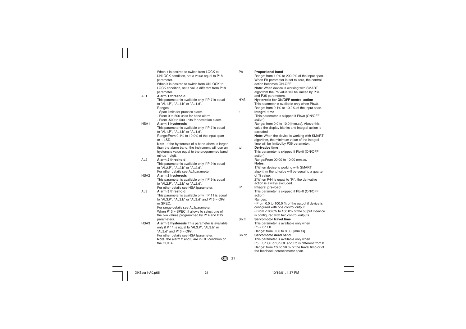Pb **Proportional band** Range: from 1.0% to 200.0% of the input span. **HYS** titdIPSñ.ttSñ.dbWhen it is desired to switch from LOCK to UNLOCK condition, set a value equal to P18 parameter. When it is desired to switch from UNLOCK to LOCK condition, set a value different from P18 parameter. AL1 **Alarm 1 threshold** This parameter is available only if P 7 is equal to "AL1.P", "AL1.b" or "AL1.d". Ranges: - Span limits for process alarm. - From 0 to 500 units for band alarm. - From -500 to 500 units for deviation alarm.HSA1 **Alarm 1 hysteresis** This parameter is available only if P 7 is equal to "AL1.P", "AL1.b" or "AL1.d". Range:From 0.1% to 10.0% of the input span or 1 LSD. **Note**: If the hysteresis of a band alarm is larger than the alarm band, the instrument will use an hysteresis value equal to the programmed band minus 1 digit. AL2 **Alarm 2 threshold** This parameter is available only if P 9 is equal to "AL2.P", "AL2.b" or "AL2.d". For other details see AL1parameter. HSA2 **Alarm 2 hysteresis** This parameter is available only if P 9 is equal to "AL2.P", "AL2.b" or "AL2.d". For other details see HSA1parameter. AL3 **Alarm 3 threshold** This parameter is available only if P 11 is equal to "AL3.P", "AL3.b" or "AL3.d" and P13 = OPrt or SPEC. For range details see AL1parameter. When P13 = SPEC, it allows to select one of the two values programmed by P14 and P15 parameters. HSA3 **Alarm 3 hysteresis** This parameter is available only if P 11 is equal to "AL3.P", "AL3.b" or " $AL3.d$ " and  $P13 = OPrt$ . For other details see HSA1parameter. **Note**: the alarm 2 and 3 are in OR condition onthe OUT 4.

When Pb parameter is set to zero, the control action becomes ON-OFF. **Note**: When device is working with SMART algorithm the Pb value will be limited by P34 and P35 parameters. **Hysteresis for ON/OFF control action** This paameter is available only when Pb=0. Range: from 0.1% to 10.0% of the input span. **Integral time** This parameter is skipped if Pb=0 (ON/OFF action). Range: from 0.0 to 10.0 [mm.ss]. Above this value the display blanks and integral action is excluded **Note**: When the device is working with SMART algorithm, the minimum value of the integral time will be limited by P36 parameter. **Derivative time** This parameter is skipped if Pb=0 (ON/OFF action). Range:From 00.00 to 10.00 mm.ss. **Notes**: 1)When device is working with SMART algorithm the td value will be equal to a quarter of Ti value. 2)When P44 is equal to "Pi", the derivative action is always excluded. **Integral pre-load** This parameter is skipped if Pb=0 (ON/OFF action). Ranges: - From 0.0 to 100.0 % of the output if device is configured with one control output. - From -100.0% to 100.0% of the output if device is configured with two control outputs. **Servomotor travel time** This parameter is available only when  $P5 = Sñ.OL$ . Range: from 0.06 to 3.00 [mm.ss]. **Servomotor dead band** . This parameter is available only when P5 = Sñ.CL or Sñ.OL and Pb is different from 0. Range: from 1% to 50 % of the travel timo or of the feedback potentiometer span.

**GB** 21

XKSser1-A0.p65 21 10/19/01, 1:37 PM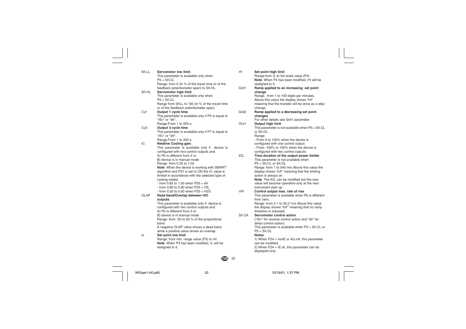#### Sñ.LL **Servomotor low limit**. This parameter is available only when P5 = Sñ.CL Range: from 0 (in % of the travel time or of the feedback potentiometer span) to Sñ.HL.

- Sñ.HL **Servomotor high limit** This parameter is available only when  $P5 = S\tilde{n}$ .CL Range from SñLL to 100 (in % of the travel time or of the feedback potentiometer span).
- Cy1 **Output 1 cycle time** This parameter is available only if P5 is equal to "rEv" or "dir".Range:From 1 to 200 s.
- Cy3 **Output 3 cycle time** This parameter is available only if P7 is equal to "rEv" or "dir".Range:From 1 to 200 s.
- rC **Relative Cooling gain**. This parameter is available only if device is configured with two control outputs and A) Pb is different from 0 or. B) device is in manual mode Range: from 0.20 to 1.00 **Note**: When the device is working with SMART algorithm and P37 is set to ON the rC value is limited in accordance with the selected type of cooling media:  $-$  from 0.85 to 1.00 when P25 = AIr
	- $-$  from 0.80 to 0.90 when P25 = OIL - from 0.30 to 0.60 when P25 = H2O**Dead band/Overlap between H/C**

#### **outputs**. This parameter is available only if device is configured with two control outputs and A) Pb is different from 0 or. B) device is in manual mode Range: from -20 to 50 % of the proportional band.

 A negative OLAP value shows a dead band while a positive value shows an overlap.

 **Set point low limit** Range: from min. range value (P3) to rH. **Note**: When P3 has been modified, rL will be realigned to it.

realigned to it. Grd1 **Ramp applied to an increasing set point change** Range: from 1 to 100 digits per minutes. Above this value the display shows "Inf" meaning that the transfer will be done as a step change. Grd2 **Ramp applied to a decreasing set point changes** For other details see Grd1 parameter. OLH **Output high limit** This parameter is not available when P5 = Sñ.CL or Sñ.OL .Range: - From 0 to 100% when the device isconfigured with one control output. - From -100% to 100% when the device is configured with two control outputs. tOL **Time duration of the output power limiter** This parameter is not available when P5 = Sñ.CL or Sñ.OL Range: from 1 to 540 min.Above this value the display shows "InF" meaning that the limiting action is always on **Note**: The tOL can be modified but the new value will become operative only at the next instrument start up. rñP **Control output max. rate of rise** This parameter is available when Pb is different

**Set point high limit**

Range:from rL to full scale value (P4) **Note**: When P4 has been modified, rH will be

from zero. Range: from 0.1 to 25.0 %/s.Above this value the display shows "InF" meaning that no ramp limitation is imposed.

#### Sñ.CA **Servomotor control action** ("rEv" for reverse control action and "dir" for direct control action). This parameter is available when  $P5 = Sñ.CL$  or  $P5 = Sñ.OL$ **Notes**: 1) When P24 = nonE or AU.nA, this parameter can be modified.

 2) When P24 = rE.dr, this parameter can be displayed only.

**GB** 22

rH

OLAP

rL

XKSser1-A0.p65 22 10/19/01, 1:37 PM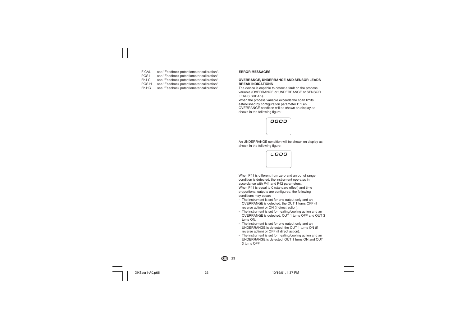- F.CAL see "Feedback potentiometer calibration".
- POS.L see "Feedback potentiometer calibration"
- Fb.LC see "Feedback potentiometer calibration"
- POS.H see "Feedback potentiometer calibration"
- Fb.HC see "Feedback potentiometer calibration"

#### **ERROR MESSAGES**

#### **OVERRANGE, UNDERRANGE AND SENSOR LEADS BREAK INDICATIONS**

 The device is capable to detect a fault on the process variable (OVERRANGE or UNDERRANGE or SENSOR LEADS BREAK). When the process variable exceeds the span limits established by configuration parameter P 1 an OVERRANGE condition will be shown on display as shown in the following figure:



An UNDERRANGE condition will be shown on display as shown in the following figure:



When P41 is different from zero and an out of range condition is detected, the instrument operates in accordance with P41 and P42 parameters. When P41 is equal to 0 (standard effect) and time proportional outputs are configured, the following conditions may occur:

- The instrument is set for one output only and an OVERRANGE is detected, the OUT 1 turns OFF (if reverse action) or ON (if direct action).
- The instrument is set for heating/cooling action and an OVERRANGE is detected, OUT 1 turns OFF and OUT 3 turns ON.
- The instrument is set for one output only and an UNDERRANGE is detected, the OUT 1 turns ON (if reverse action) or OFF (if direct action).
- The instrument is set for heating/cooling action and an UNDERRANGE is detected, OUT 1 turns ON and OUT 3 turns OFF.



XKSser1-A0.p65 23 10/19/01, 1:37 PM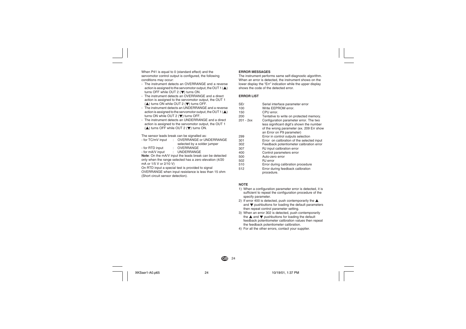When P41 is equal to 0 (standard effect) and the servomotor control output is configured, the following conditions may occur:

- The instrument detects an OVERRANGE and a reverseaction is assigned to the servomotor output, the OUT 1  $(\triangle)$ turns OFF while OUT 2 (▼) turns ON.
- The instrument detects an OVERRANGE and a direct action is assigned to the servomotor output, the OUT 1  $(\triangle)$  turns ON while OUT 2  $(\blacktriangledown)$  turns OFF.
- The instrument detects an UNDERRANGE and a reverseaction is assigned to the servomotor output, the OUT 1  $(\triangle)$ turns ON while OUT 2  $(\blacktriangledown)$  turns OFF.
- The instrument detects an UNDERRANGE and a direct action is assigned to the servomotor output, the OUT 1  $(\triangle)$  turns OFF while OUT 2 ( $\nabla$ ) turns ON.

| The sensor leads break can be signalled as:              |                               |  |  |  |  |
|----------------------------------------------------------|-------------------------------|--|--|--|--|
| - for TC/mV input                                        | : OVERRANGE or UNDERRANGE     |  |  |  |  |
|                                                          | selected by a solder jumper   |  |  |  |  |
| - for RTD input                                          | : OVERRANGE                   |  |  |  |  |
|                                                          | - for mA/V input : UNDERRANGE |  |  |  |  |
| Note: On the mA/V input the leads break can be detected  |                               |  |  |  |  |
| only when the range selected has a zero elevation (4/20) |                               |  |  |  |  |
| mA or 1/5 V or 2/10 V)                                   |                               |  |  |  |  |
| On RTD input a special test is provided to signal        |                               |  |  |  |  |
| OVERRANGE when input resistance is less than 15 ohm      |                               |  |  |  |  |
| (Short circuit sensor detection).                        |                               |  |  |  |  |

#### **ERROR MESSAGES**

 The instrument performs same self-diagnostic algorithm. When an error is detected, the instrument shows on the lower display the "Err" indication while the upper display shows the code of the detected error.

#### **ERROR LIST**

- SEr Serial interface parameter error<br>100 Write EEPROM error.
- 100 Write EEPROM error.
- 150 CPU error.
- 200 Tentative to write on protected memory.
- 201 2xx Configuration parameter error. The two less significant digit's shown the number of the wrong parameter (ex. 209 Err show an Error on P9 parameter)
- 299 Error in control outputs selection
- 301 Error on calibration of the selected input<br>302 Feedback potentiometer calibration error
- 302 Feedback potentiometer calibration error
- 307 RJ input calibration error<br>400 Control parameters error
- 400 Control parameters error<br>500 Auto-zero error
- 500 Auto-zero error
- 502 RJ error
- 510 Error during calibration procedure
- 512 Error during feedback calibration procedure.
	-

#### **NOTE**

- 1) When a configuration parameter error is detected, it is sufficient to repeat the configuration procedure of the specify parameter.
- 2) If error 400 is detected, push contemporarily the  $\triangle$ and  $\blacktriangledown$  pushbuttons for loading the default parameters then repeat control parameter setting.
- 3) When an error 302 is detected, push contemporarily the  $\triangle$  and  $\nabla$  pushbuttons for loading the default feedback potentiometer calibration values then repeat the feedback potentiometer calibration.
- 4) For all the other errors, contact your supplier.

**GB** 24

XKSser1-A0.p65 24 10/19/01, 1:37 PM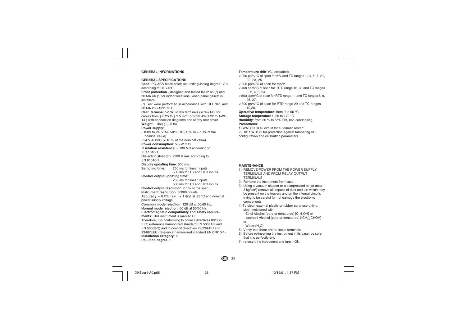#### **GENERAL INFORMATIONS**

#### **GENERAL SPECIFICATIONS**

 **Case**: PC-ABS black color; self-extinguishing degree: V-0 according to UL 746C. **Front protection** - designed and tested for IP 65 (\*) and NEMA 4X (\*) for indoor locations (when panel gasket is installed). (\*) Test were performed in accordance with CEI 70-1 and NEMA 250-1991 STD. **Rear terminal block**: screw terminals (screw M3, for cables from  $\phi$  0.25 to  $\phi$  2.5 mm<sup>2</sup> or from AWG 22 to AWG 14 ) with connection diagrams and safety rear cover. **Weight**: 360 g (0.8 lb) **Power supply**:  $-100V$  to 240V AC 50/60Hz ( $-15\%$  to  $+10\%$  of the nominal value). - 24 V AC/DC  $(+10\%$  of the nominal value). **Power consumption**: 5.5 W max. **Insulation resistance**: > 100 MΩ according to IEC 1010-1. **Dielectric strength**: 2300 V rms according to EN 61010-1.**Display updating time**: 500 ms. **Sampling time:** 250 ms for linear inputs 500 ms for TC and RTD inputs. **Control output updating time:** 250 ms for linear inputs 500 ms for TC and RTD inputs. **Control output resolution**: 0.1% of the span. **Instrument resolution**: 30000 counts.**Accuracy**:  $\pm$  0.2% f.s.v..  $\pm$  1 digit @ 25 °C and nominal power supply voltage. **Common mode rejection**: 120 dB at 50/60 Hz. **Normal mode rejection:** 60 dB at 50/60 Hz. **Electromagnetic compatibility and safety requirements**: This instrument is marked CE.Therefore, it is conforming to council directives 89/336/ EEC (reference harmonized standard EN 50081-2 and EN 50082-2) and to council directives 73/23/EEC and 93/68/EEC (reference harmonized standard EN 61010-1). **Installation category**: II **Pollution degree**: 2

**Temperature drift**: (CJ excluded)  $<$  200 ppm/ $\degree$ C of span for mV and TC ranges 1, 3, 5, 7, 21,

- 22, 23, 25. < 300 ppm/°C of span for mA/V
- < 400 ppm/°C of span for RTD range 12, 30 and TC ranges 0, 2, 4, 6, 24.
- < 500 ppm/°C of span for RTD range 11 and TC ranges 8, 9, 26, 27.
- < 800 ppm/°C of span for RTD range 29 and TC ranges 10,28.

**Operative temperature:** from 0 to 50 °C. **Storage temperature : -20 to +70 °C Humidity**: from 20 % to 85% RH, non condensing. **Protections**:

 1) WATCH DOG circuit for automatic restart. 2) DIP SWITCH for protection against tampering of configuration and calibration parameters.

#### **MAINTENANCE**

- 1) REMOVE POWER FROM THE POWER SUPPLY TERMINALS AND FROM RELAY OUTPUT**TERMINALS**
- 2) Remove the instrument from case.
- 3) Using a vacuum cleaner or a compressed air jet (max. 3 kg/cm2) remove all deposit of dust and dirt which may be present on the louvers and on the internal circuits trying to be careful for not damage the electronic components.
- 4) To clean external plastic or rubber parts use only a cloth moistened with:
- Ethyl Alcohol (pure or denatured) [C<sub>2</sub>H<sub>e</sub>OH] or - Isopropil Alcohol (pure or denatured) [(CH3)<sub>2</sub>CHOH] or

- Water (H<sub>2</sub>O)

- 5) Verify that there are no loose terminals.
- 6) Before re-inserting the instrument in its case, be sure that it is perfectly dry.
- 7) re-insert the instrument and turn it ON.



XKSser1-A0.p65 25 25 10/19/01, 1:37 PM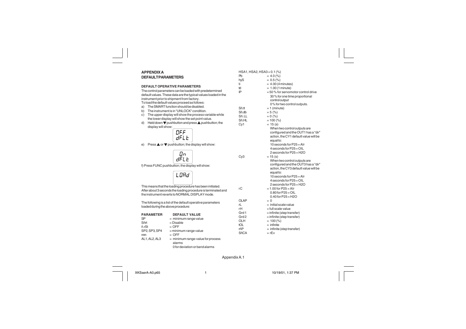#### **APPENDIX ADEFAULT PARAMETERS**

## **DEFAULT OPERATIVE PARAMETERS** The control parameters can be loaded with predetermined default values. These data are the typical values loaded in the instrument prior to shipment from factory. To load the default values proceed as follows: a) The SMART function should be disabled. b) The instrument is in "UNLOCK" condition. c) The upper display will show the process variable while the lower display will show the set point value. d) Held down ▼ pushbutton and press ▲ pushbutton; the display will show:  $\mathsf{DFF}$  $dFLE$ e) Press  $\triangle$  or  $\nabla$  pushbutton; the display will show: 0n  $dFLE$ f) Press FUNC pushbutton; the display will show: **LORd** This means that the loading procedure has been initiated. After about 3 seconds the loading procedure is terminated and the instrument reverts to NORMAL DISPLAY mode.The following is a list of the default operative parameters loaded during the above procedure: **PARAMETER DEFAULT VALUE**<br>
SP  $=$  minimum range value SP = minimum range value Sñrt = Disable  $ñ.rSt = OFF$ SP2, SP3, SP4 = minimum range value  $nnn = OFF$

AL1, AL2, AL3 = minimum range-value for process alarms

0 for deviation or band alarms

 $HSA1, HSA2, HSA3 = 0.1 (\%)$ <br>Ph = 4 0 (%) Pb  $= 4.0\,(%)$ <br>hyS  $= 0.5\,(%)$  $= 0.5 (%)$ ti  $= 4.00 (4 \text{ minutes})$ <br>td  $= 1.00 (1 \text{ minute})$ td  $= 1.00 (1 \text{ minute})$ <br> $= 50 % \text{for } \text{sev} \text{cm}$  $= 50 %$  for servomotor control drive 30 % for one time proportional control output 0 % for two control outputs. Sñ.tt  $= 1 \text{ (minute)}$ <br>Sñ.db  $= 5 \text{ } \%$ Sñ.db  $= 5$  (%)<br>Sñ.LL  $= 0$  (%)  $\begin{array}{lll} \text{Sñ. LL} & = & 0 & \text{(%)} \\ \text{Sñ. HL} & = & 100 & \text{(%)} \end{array}$  $\begin{array}{lll} \text{Sñ.HL} & = 100 (\%) \\ \text{Cy1} & = 15 (\text{s}) \end{array}$  $= 15 (s)$ When two control outputs are configured and the OUT1 has a "dir" action, the CY1 default value will be equal to: 10 seconds for P25 = AIr 4 seconds for P25 = OIL 2 seconds for P25 = H2O $Cy3 = 15 (s)$ When two control outputs are configured and the OUT3 has a "dir" action, the CY3 default value will be equal to: 10 seconds for P25 = AIr 4 seconds for P25 = OIL 2 seconds for P25 = H2OrC = 1.00 for P25 = AIr 0.80 for P25 = OIL 0.40 for P25 = H2O  $OLAP = 0$  $rL = \text{initial scale value}$ rH = full scale value Grd 1 = infinite (step transfer) Grd 2 = infinite (step transfer)<br>OLH =  $100\frac{\%}{60}$ OLH  $= 100 (\%)$ <br>tOL  $=$  infinite  $=$  infinite rñP  $=$  infinite (step transfer)<br>SñCA  $=$  rEv SñCA

Appendix A.1

XKSserA-A0.p65 1 10/19/01, 1:37 PM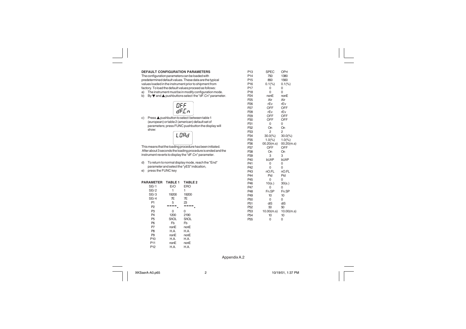#### **DEFAULT CONFIGURATION PARAMETERS**

 The configuration parameters can be loaded with predetermined default values. These data are the typical values loaded in the instrument prior to shipment from factory. To load the default values proceed as follows:

a) The instrument must be in modify configuration mode. b) By  $\nabla$  and  $\triangle$  pushbuttons select the "dF.Cn" parameter.



 $c)$  Press  $\triangle$  pushbutton to select between table 1 (european) or table 2 (american) default set of parameters; press FUNC pushbutton the display will show:

LDAd

This means that the loading procedure has been initiated. After about 3 seconds the loading procedure is ended and the instrument reverts to display the "dF.Cn" parameter.

d) To return to normal display mode, reach the "End" parameter and select the "yES" indication,

e) press the FUNC key

| PARAMETER TABLE 1<br>SEr 1<br>SEr <sub>2</sub><br>SEr <sub>3</sub><br>SEr <sub>4</sub><br>P1 | ErO<br>1<br>19200<br>7E<br>5 | <b>TABLE 2</b><br>ERO<br>1<br>19200<br>7E<br>23 |
|----------------------------------------------------------------------------------------------|------------------------------|-------------------------------------------------|
| P <sub>2</sub>                                                                               |                              |                                                 |
| P <sub>3</sub>                                                                               | 0                            | 0                                               |
| P <sub>4</sub>                                                                               | 1200                         | 2190                                            |
| <b>P5</b>                                                                                    | SñOL                         | SñOL                                            |
| P <sub>6</sub>                                                                               | Fb                           | Fb                                              |
| P7                                                                                           | nonE                         | nonE                                            |
| P <sub>8</sub>                                                                               | H.A.                         | H.A.                                            |
| P <sub>9</sub>                                                                               | nonE                         | nonE                                            |
| P <sub>10</sub>                                                                              | H.A.                         | H.A.                                            |
| P11                                                                                          | nonE                         | nonE                                            |
| P12                                                                                          | H.A.                         | H.A.                                            |

P13 SPECOPrt<br>1380 P14 750 X P15 850 P16 0.1(%) 0.1(%)<br>P17 0 0 P<sub>17</sub>  $\overline{0}$ P18 0  $nonF$ P24 nonE Air P25 AIr AIrP26 rEv rEv OFF P27 OFF OFFrEv P<sub>28</sub> rEv OFF P29 OFF OFFOFF P30 OFF P31 0 0On P32 On On $\mathfrak{D}$ P33 2<br>P34 30.00  $30.0\%$ P34 30.0(%) 30.0(%)<br>P35 1.0(%) 1.0(%)  $P35$   $1.0(\%)$ <br> $P36$   $00.20(\)$ . P36 00.20(m.s) 00.20(m.s)<br>P37 OFF OFF  $OFF$ On P38 On On $\mathbf{3}$ P39 3 bUñP P<sub>40</sub> bUñP P41 0 0  $\overline{0}$ P42 0<br>P43 nO.F nO.Fl  $nO.FL$ P44 Pid Pid $\overline{0}$ P45 0  $30(s.)$ P46 10(s.) 30<br>P47 0 0 P47<br>P48 P48 Fn.SP Fn.SP P49 10 10  $\overline{0}$ P50 0 diS P51 diS 50 P52 50 50 P53 10.00(m.s) 10.00(m.s) P54 10 10  $\mathbf{0}$ P55 0

Appendix A.2

XKSserA-A0.p65 2 10/19/01, 1:37 PM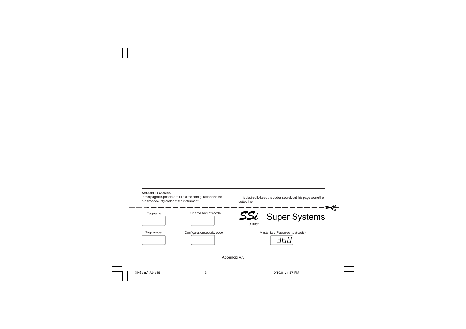